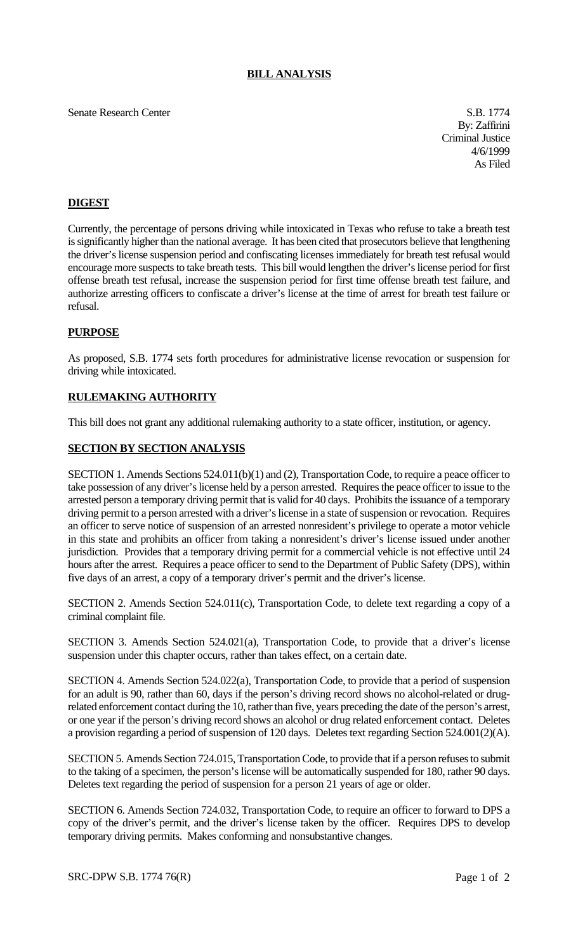### **BILL ANALYSIS**

## Senate Research Center S.B. 1774

By: Zaffirini Criminal Justice 4/6/1999 As Filed

# **DIGEST**

Currently, the percentage of persons driving while intoxicated in Texas who refuse to take a breath test is significantly higher than the national average. It has been cited that prosecutors believe that lengthening the driver's license suspension period and confiscating licenses immediately for breath test refusal would encourage more suspects to take breath tests. This bill would lengthen the driver's license period for first offense breath test refusal, increase the suspension period for first time offense breath test failure, and authorize arresting officers to confiscate a driver's license at the time of arrest for breath test failure or refusal.

### **PURPOSE**

As proposed, S.B. 1774 sets forth procedures for administrative license revocation or suspension for driving while intoxicated.

### **RULEMAKING AUTHORITY**

This bill does not grant any additional rulemaking authority to a state officer, institution, or agency.

#### **SECTION BY SECTION ANALYSIS**

SECTION 1. Amends Sections 524.011(b)(1) and (2), Transportation Code, to require a peace officer to take possession of any driver's license held by a person arrested. Requires the peace officer to issue to the arrested person a temporary driving permit that is valid for 40 days. Prohibits the issuance of a temporary driving permit to a person arrested with a driver's license in a state of suspension or revocation. Requires an officer to serve notice of suspension of an arrested nonresident's privilege to operate a motor vehicle in this state and prohibits an officer from taking a nonresident's driver's license issued under another jurisdiction. Provides that a temporary driving permit for a commercial vehicle is not effective until 24 hours after the arrest. Requires a peace officer to send to the Department of Public Safety (DPS), within five days of an arrest, a copy of a temporary driver's permit and the driver's license.

SECTION 2. Amends Section 524.011(c), Transportation Code, to delete text regarding a copy of a criminal complaint file.

SECTION 3. Amends Section 524.021(a), Transportation Code, to provide that a driver's license suspension under this chapter occurs, rather than takes effect, on a certain date.

SECTION 4. Amends Section 524.022(a), Transportation Code, to provide that a period of suspension for an adult is 90, rather than 60, days if the person's driving record shows no alcohol-related or drugrelated enforcement contact during the 10, rather than five, years preceding the date of the person's arrest, or one year if the person's driving record shows an alcohol or drug related enforcement contact. Deletes a provision regarding a period of suspension of 120 days. Deletes text regarding Section 524.001(2)(A).

SECTION 5. Amends Section 724.015, Transportation Code, to provide that if a person refuses to submit to the taking of a specimen, the person's license will be automatically suspended for 180, rather 90 days. Deletes text regarding the period of suspension for a person 21 years of age or older.

SECTION 6. Amends Section 724.032, Transportation Code, to require an officer to forward to DPS a copy of the driver's permit, and the driver's license taken by the officer. Requires DPS to develop temporary driving permits. Makes conforming and nonsubstantive changes.